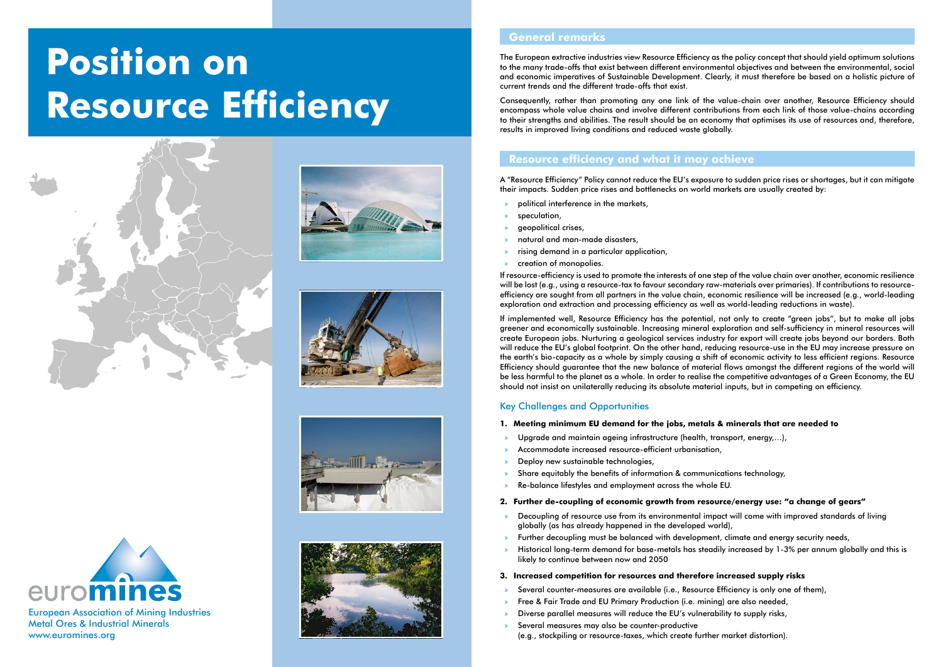## **General remarks**

The European extractive industries view Resource Efficiency as the policy concept that should yield optimum solutions to the many trade-offs that exist between different environmental objectives and between the environmental, social and economic imperatives of Sustainable Development. Clearly, it must therefore be based on a holistic picture of current trends and the different trade-offs that exist.

Consequently, rather than promoting any one link of the value-chain over another, Resource Efficiency should encompass whole value chains and involve different contributions from each link of those value-chains according to their strengths and abilities. The result should be an economy that optimises its use of resources and, therefore, results in improved living conditions and reduced waste globally.

### **Resource efficiency and what it may achieve**

A "Resource Efficiency" Policy cannot reduce the EU's exposure to sudden price rises or shortages, but it can mitigate their impacts. Sudden price rises and bottlenecks on world markets are usually created by:

- » political interference in the markets,
- speculation.
- » geopolitical crises,
- » natural and man-made disasters,
- » rising demand in a particular application,
- » creation of monopolies.

If resource-efficiency is used to promote the interests of one step of the value chain over another, economic resilience will be lost (e.g., using a resource-tax to favour secondary raw-materials over primaries). If contributions to resourceefficiency are sought from all partners in the value chain, economic resilience will be increased (e.g., world-leading exploration and extraction and processing efficiency as well as world-leading reductions in waste).

- Several counter-measures are available (i.e., Resource Efficiency is only one of them),
- » Free & Fair Trade and EU Primary Production (i.e. mining) are also needed,
- » Diverse parallel measures will reduce the EU's vulnerability to supply risks,
- Several measures may also be counter-productive (e.g., stockpiling or resource-taxes, which create further market distortion).



If implemented well, Resource Efficiency has the potential, not only to create "green jobs", but to make all jobs greener and economically sustainable. Increasing mineral exploration and self-sufficiency in mineral resources will create European jobs. Nurturing a geological services industry for export will create jobs beyond our borders. Both will reduce the EU's global footprint. On the other hand, reducing resource-use in the EU may increase pressure on the earth's bio-capacity as a whole by simply causing a shift of economic activity to less efficient regions. Resource Efficiency should guarantee that the new balance of material flows amongst the different regions of the world will be less harmful to the planet as a whole. In order to realise the competitive advantages of a Green Economy, the EU should not insist on unilaterally reducing its absolute material inputs, but in competing on efficiency.

#### Key Challenges and Opportunities

- **1. Meeting minimum EU demand for the jobs, metals & minerals that are needed to**
	- » Upgrade and maintain ageing infrastructure (health, transport, energy,…),
- » Accommodate increased resource-efficient urbanisation,
- » Deploy new sustainable technologies,
- Share equitably the benefits of information & communications technology,
- » Re-balance lifestyles and employment across the whole EU.

#### **2. Further de-coupling of economic growth from resource/energy use: "a change of gears"**

- » Decoupling of resource use from its environmental impact will come with improved standards of living globally (as has already happened in the developed world),
- » Further decoupling must be balanced with development, climate and energy security needs,
- likely to continue between now and 2050

» Historical long-term demand for base-metals has steadily increased by 1-3% per annum globally and this is

#### **3. Increased competition for resources and therefore increased supply risks**

European Association of Mining Industries Metal Ores & Industrial Minerals www.euromines.org

# **Position on Resource Efficiency**









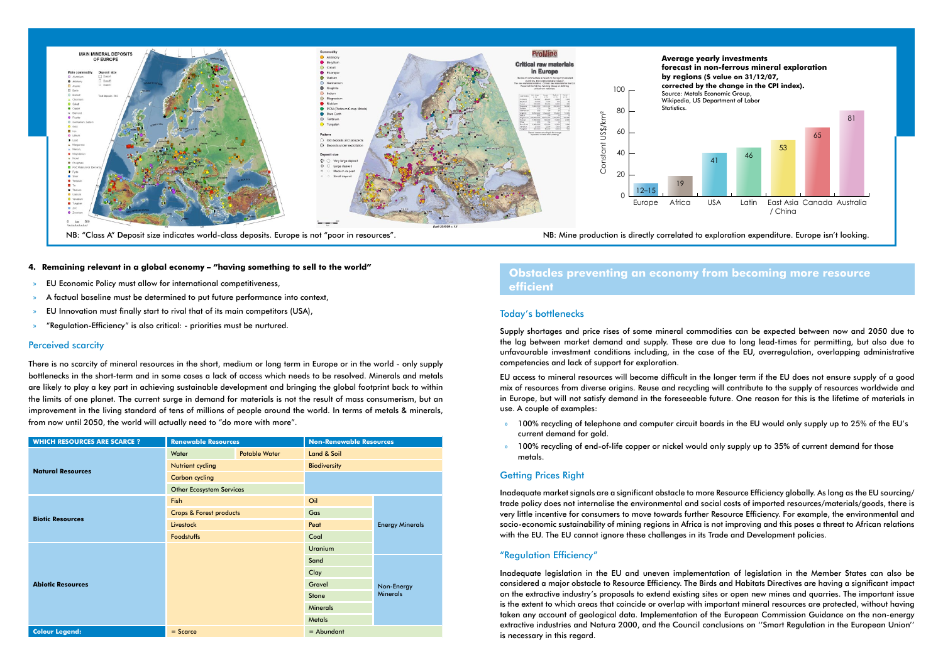#### **4. Remaining relevant in a global economy – "having something to sell to the world"**

- » EU Economic Policy must allow for international competitiveness,
- » A factual baseline must be determined to put future performance into context,
- » EU Innovation must finally start to rival that of its main competitors (USA),
- » "Regulation-Efficiency" is also critical: priorities must be nurtured.

#### Perceived scarcity

There is no scarcity of mineral resources in the short, medium or long term in Europe or in the world - only supply bottlenecks in the short-term and in some cases a lack of access which needs to be resolved. Minerals and metals are likely to play a key part in achieving sustainable development and bringing the global footprint back to within the limits of one planet. The current surge in demand for materials is not the result of mass consumerism, but an improvement in the living standard of tens of millions of people around the world. In terms of metals & minerals, from now until 2050, the world will actually need to "do more with more".

| <b>WHICH RESOURCES ARE SCARCE ?</b> | <b>Renewable Resources</b>         |                      | <b>Non-Renewable Resources</b> |                               |  |
|-------------------------------------|------------------------------------|----------------------|--------------------------------|-------------------------------|--|
| <b>Natural Resources</b>            | Water                              | <b>Potable Water</b> | Land & Soil                    |                               |  |
|                                     | Nutrient cycling                   |                      | <b>Biodiversity</b>            |                               |  |
|                                     | <b>Carbon cycling</b>              |                      |                                |                               |  |
|                                     | <b>Other Ecosystem Services</b>    |                      |                                |                               |  |
| <b>Biotic Resources</b>             | <b>Fish</b>                        |                      | Oil                            |                               |  |
|                                     | <b>Crops &amp; Forest products</b> |                      | Gas                            | <b>Energy Minerals</b>        |  |
|                                     | Livestock                          |                      | Peat                           |                               |  |
|                                     | <b>Foodstuffs</b>                  |                      | Coal                           |                               |  |
| <b>Abiotic Resources</b>            |                                    |                      | <b>Uranium</b>                 |                               |  |
|                                     |                                    |                      | Sand                           | Non-Energy<br><b>Minerals</b> |  |
|                                     |                                    |                      | Clay                           |                               |  |
|                                     |                                    |                      | Gravel                         |                               |  |
|                                     |                                    |                      | Stone                          |                               |  |
|                                     |                                    |                      | <b>Minerals</b>                |                               |  |
|                                     |                                    |                      | <b>Metals</b>                  |                               |  |
| <b>Colour Legend:</b>               | $=$ Abundant<br>$=$ Scarce         |                      |                                |                               |  |

## **Obstacles preventing an economy from becoming more resource efficient**

#### Today's bottlenecks

Supply shortages and price rises of some mineral commodities can be expected between now and 2050 due to the lag between market demand and supply. These are due to long lead-times for permitting, but also due to unfavourable investment conditions including, in the case of the EU, overregulation, overlapping administrative competencies and lack of support for exploration.

EU access to mineral resources will become difficult in the longer term if the EU does not ensure supply of a good mix of resources from diverse origins. Reuse and recycling will contribute to the supply of resources worldwide and in Europe, but will not satisfy demand in the foreseeable future. One reason for this is the lifetime of materials in use. A couple of examples:

» 100% recycling of telephone and computer circuit boards in the EU would only supply up to 25% of the EU's

- current demand for gold.
- » 100% recycling of end-of-life copper or nickel would only supply up to 35% of current demand for those metals.

#### Getting Prices Right



Inadequate market signals are a significant obstacle to more Resource Efficiency globally. As long as the EU sourcing/ trade policy does not internalise the environmental and social costs of imported resources/materials/goods, there is very little incentive for consumers to move towards further Resource Efficiency. For example, the environmental and socio-economic sustainability of mining regions in Africa is not improving and this poses a threat to African relations with the EU. The EU cannot ignore these challenges in its Trade and Development policies.

#### "Regulation Efficiency"

Inadequate legislation in the EU and uneven implementation of legislation in the Member States can also be considered a major obstacle to Resource Efficiency. The Birds and Habitats Directives are having a significant impact on the extractive industry's proposals to extend existing sites or open new mines and quarries. The important issue is the extent to which areas that coincide or overlap with important mineral resources are protected, without having taken any account of geological data. Implementation of the European Commission Guidance on the non-energy extractive industries and Natura 2000, and the Council conclusions on ''Smart Regulation in the European Union'' is necessary in this regard.